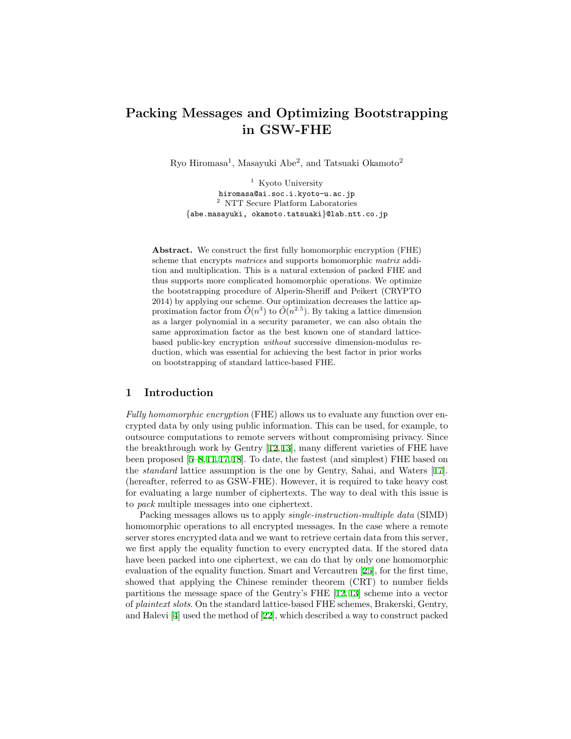# **Packing Messages and Optimizing Bootstrapping in GSW-FHE**

Ryo Hiromasa<sup>1</sup>, Masayuki Abe<sup>2</sup>, and Tatsuaki Okamoto<sup>2</sup>

<sup>1</sup> Kyoto University hiromasa@ai.soc.i.kyoto-u.ac.jp <sup>2</sup> NTT Secure Platform Laboratories *{*abe.masayuki, okamoto.tatsuaki*}*@lab.ntt.co.jp

**Abstract.** We construct the first fully homomorphic encryption (FHE) scheme that encrypts *matrices* and supports homomorphic *matrix* addition and multiplication. This is a natural extension of packed FHE and thus supports more complicated homomorphic operations. We optimize the bootstrapping procedure of Alperin-Sheriff and Peikert (CRYPTO 2014) by applying our scheme. Our optimization decreases the lattice approximation factor from  $\tilde{O}(n^3)$  to  $\tilde{O}(n^{2.5})$ . By taking a lattice dimension as a larger polynomial in a security parameter, we can also obtain the same approximation factor as the best known one of standard latticebased public-key encryption *without* successive dimension-modulus reduction, which was essential for achieving the best factor in prior works on bootstrapping of standard lattice-based FHE.

# **1 Introduction**

*Fully homomorphic encryption* (FHE) allows us to evaluate any function over encrypted data by only using public information. This can be used, for example, to outsource computations to remote servers without compromising privacy. Since the breakthrough work by Gentry [[12,](#page-16-0)[13\]](#page-16-1), many different varieties of FHE have been proposed [[5–](#page-16-2)[8,](#page-16-3)[11](#page-16-4),[17](#page-16-5),[18\]](#page-16-6). To date, the fastest (and simplest) FHE based on the *standard* lattice assumption is the one by Gentry, Sahai, and Waters [[17](#page-16-5)]. (hereafter, referred to as GSW-FHE). However, it is required to take heavy cost for evaluating a large number of ciphertexts. The way to deal with this issue is to *pack* multiple messages into one ciphertext.

Packing messages allows us to apply *single-instruction-multiple data* (SIMD) homomorphic operations to all encrypted messages. In the case where a remote server stores encrypted data and we want to retrieve certain data from this server, we first apply the equality function to every encrypted data. If the stored data have been packed into one ciphertext, we can do that by only one homomorphic evaluation of the equality function. Smart and Vercautren [[25](#page-16-7)], for the first time, showed that applying the Chinese reminder theorem (CRT) to number fields partitions the message space of the Gentry's FHE [[12](#page-16-0), [13](#page-16-1)] scheme into a vector of *plaintext slots*. On the standard lattice-based FHE schemes, Brakerski, Gentry, and Halevi [[4\]](#page-16-8) used the method of [\[22](#page-16-9)], which described a way to construct packed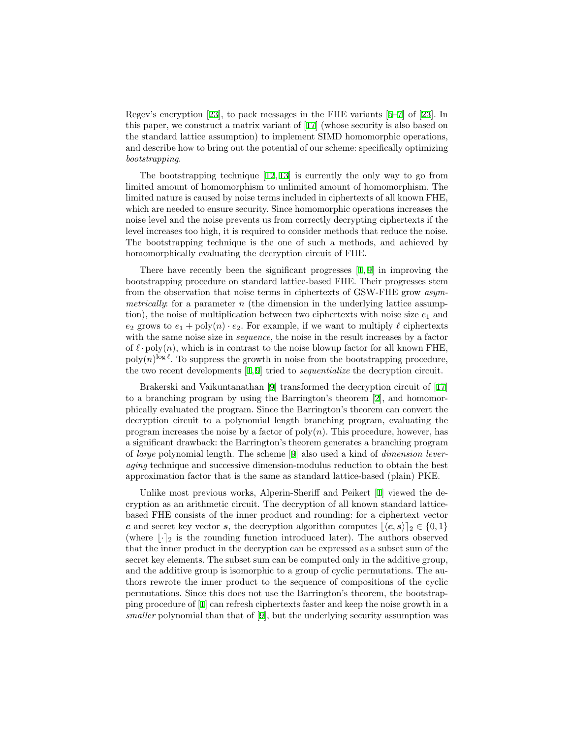Regev's encryption [\[23](#page-16-10)], to pack messages in the FHE variants [[5–](#page-16-2)[7](#page-16-11)] of [\[23](#page-16-10)]. In this paper, we construct a matrix variant of [[17](#page-16-5)] (whose security is also based on the standard lattice assumption) to implement SIMD homomorphic operations, and describe how to bring out the potential of our scheme: specifically optimizing *bootstrapping*.

The bootstrapping technique [[12,](#page-16-0) [13](#page-16-1)] is currently the only way to go from limited amount of homomorphism to unlimited amount of homomorphism. The limited nature is caused by noise terms included in ciphertexts of all known FHE, which are needed to ensure security. Since homomorphic operations increases the noise level and the noise prevents us from correctly decrypting ciphertexts if the level increases too high, it is required to consider methods that reduce the noise. The bootstrapping technique is the one of such a methods, and achieved by homomorphically evaluating the decryption circuit of FHE.

There have recently been the significant progresses  $[1, 9]$  $[1, 9]$  $[1, 9]$  in improving the bootstrapping procedure on standard lattice-based FHE. Their progresses stem from the observation that noise terms in ciphertexts of GSW-FHE grow *asymmetrically*: for a parameter *n* (the dimension in the underlying lattice assumption), the noise of multiplication between two ciphertexts with noise size  $e_1$  and  $e_2$  grows to  $e_1 + \text{poly}(n) \cdot e_2$ . For example, if we want to multiply  $\ell$  ciphertexts with the same noise size in *sequence*, the noise in the result increases by a factor of  $\ell$  *·* poly $(n)$ , which is in contrast to the noise blowup factor for all known FHE,  $\text{poly}(n)^{\log \ell}$ . To suppress the growth in noise from the bootstrapping procedure, the two recent developments [[1,](#page-15-0) [9\]](#page-16-12) tried to *sequentialize* the decryption circuit.

Brakerski and Vaikuntanathan [\[9](#page-16-12)] transformed the decryption circuit of [[17\]](#page-16-5) to a branching program by using the Barrington's theorem [[2](#page-15-1)], and homomorphically evaluated the program. Since the Barrington's theorem can convert the decryption circuit to a polynomial length branching program, evaluating the program increases the noise by a factor of  $poly(n)$ . This procedure, however, has a significant drawback: the Barrington's theorem generates a branching program of *large* polynomial length. The scheme [\[9](#page-16-12)] also used a kind of *dimension leveraging* technique and successive dimension-modulus reduction to obtain the best approximation factor that is the same as standard lattice-based (plain) PKE.

Unlike most previous works, Alperin-Sheriff and Peikert [\[1](#page-15-0)] viewed the decryption as an arithmetic circuit. The decryption of all known standard latticebased FHE consists of the inner product and rounding: for a ciphertext vector *c* and secret key vector *s*, the decryption algorithm computes  $|\langle c, s \rangle|_2 \in \{0, 1\}$ (where  $|\cdot|_2$  is the rounding function introduced later). The authors observed that the inner product in the decryption can be expressed as a subset sum of the secret key elements. The subset sum can be computed only in the additive group, and the additive group is isomorphic to a group of cyclic permutations. The authors rewrote the inner product to the sequence of compositions of the cyclic permutations. Since this does not use the Barrington's theorem, the bootstrapping procedure of [[1\]](#page-15-0) can refresh ciphertexts faster and keep the noise growth in a *smaller* polynomial than that of [\[9](#page-16-12)], but the underlying security assumption was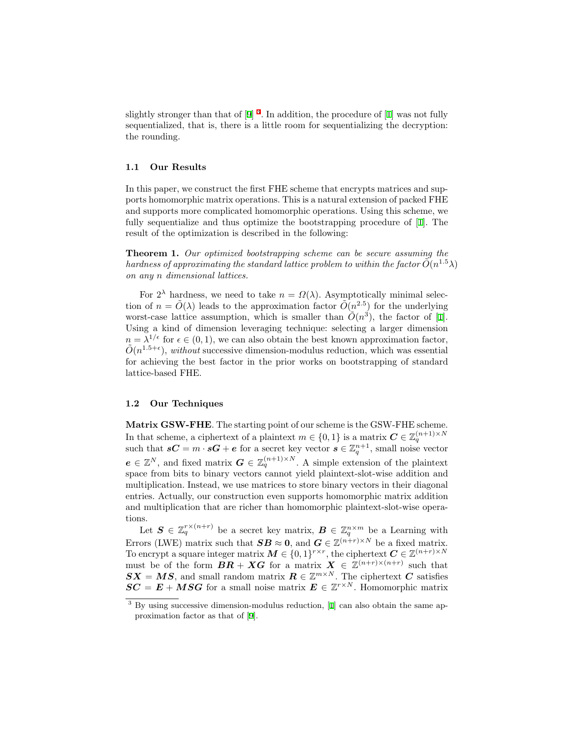slightly stronger than that of [[9\]](#page-16-12)<sup>[3](#page-2-0)</sup>. In addition, the procedure of [[1\]](#page-15-0) was not fully sequentialized, that is, there is a little room for sequentializing the decryption: the rounding.

#### **1.1 Our Results**

In this paper, we construct the first FHE scheme that encrypts matrices and supports homomorphic matrix operations. This is a natural extension of packed FHE and supports more complicated homomorphic operations. Using this scheme, we fully sequentialize and thus optimize the bootstrapping procedure of [[1\]](#page-15-0). The result of the optimization is described in the following:

**Theorem 1.** *Our optimized bootstrapping scheme can be secure assuming the*  $\tilde{O}(n^{1.5}\lambda)$ *on any n dimensional lattices.*

For  $2^{\lambda}$  hardness, we need to take  $n = \Omega(\lambda)$ . Asymptotically minimal selection of  $n = \tilde{O}(\lambda)$  leads to the approximation factor  $\tilde{O}(n^{2.5})$  for the underlying worst-case lattice assumption, which is smaller than  $\tilde{O}(n^3)$ , the factor of [\[1](#page-15-0)]. Using a kind of dimension leveraging technique: selecting a larger dimension  $n = \lambda^{1/\epsilon}$  for  $\epsilon \in (0,1)$ , we can also obtain the best known approximation factor,  $\tilde{O}(n^{1.5+\epsilon})$ , *without* successive dimension-modulus reduction, which was essential for achieving the best factor in the prior works on bootstrapping of standard lattice-based FHE.

## <span id="page-2-1"></span>**1.2 Our Techniques**

**Matrix GSW-FHE**. The starting point of our scheme is the GSW-FHE scheme. In that scheme, a ciphertext of a plaintext  $m \in \{0, 1\}$  is a matrix  $\mathbf{C} \in \mathbb{Z}_q^{(n+1) \times N}$ such that  $sC = m \cdot sG + e$  for a secret key vector  $s \in \mathbb{Z}_q^{n+1}$ , small noise vector  $e \in \mathbb{Z}^N$ , and fixed matrix  $G \in \mathbb{Z}_q^{(n+1)\times N}$ . A simple extension of the plaintext space from bits to binary vectors cannot yield plaintext-slot-wise addition and multiplication. Instead, we use matrices to store binary vectors in their diagonal entries. Actually, our construction even supports homomorphic matrix addition and multiplication that are richer than homomorphic plaintext-slot-wise operations.

Let  $S \in \mathbb{Z}_q^{r \times (n+r)}$  be a secret key matrix,  $B \in \mathbb{Z}_q^{n \times m}$  be a Learning with Errors (LWE) matrix such that  $SB \approx 0$ , and  $G \in \mathbb{Z}^{(n+r)\times N}$  be a fixed matrix. To encrypt a square integer matrix  $M \in \{0,1\}^{r \times r}$ , the ciphertext  $C \in \mathbb{Z}^{(n+r) \times N}$ must be of the form  $BR + XG$  for a matrix  $X \in \mathbb{Z}^{(n+r)\times(n+r)}$  such that  $SX = MS$ , and small random matrix  $R \in \mathbb{Z}^{m \times N}$ . The ciphertext *C* satisfies  $SC = E + MSG$  for a small noise matrix  $E \in \mathbb{Z}^{r \times N}$ . Homomorphic matrix

<span id="page-2-0"></span><sup>&</sup>lt;sup>3</sup> By using successive dimension-modulus reduction, [[1](#page-15-0)] can also obtain the same approximation factor as that of [\[9\]](#page-16-12).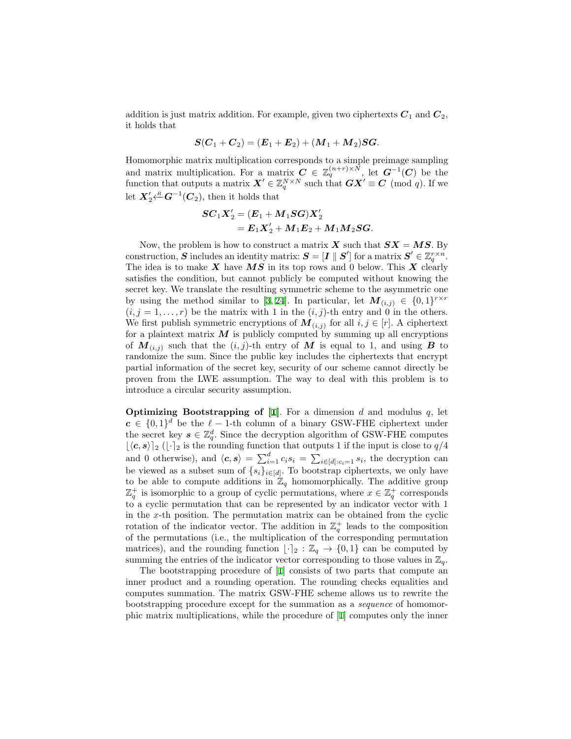addition is just matrix addition. For example, given two ciphertexts  $C_1$  and  $C_2$ , it holds that

$$
S(C_1 + C_2) = (E_1 + E_2) + (M_1 + M_2)SG.
$$

Homomorphic matrix multiplication corresponds to a simple preimage sampling and matrix multiplication. For a matrix  $C \in \mathbb{Z}_q^{(n+r)\times N}$ , let  $G^{-1}(C)$  be the function that outputs a matrix  $\mathbf{X}' \in \mathbb{Z}_q^{N \times N}$  such that  $\mathbf{G} \mathbf{X}' \equiv \mathbf{C} \pmod{q}$ . If we let  $X'_2 \stackrel{\text{R}}{\leftarrow} G^{-1}(C_2)$ , then it holds that

$$
\begin{aligned} SC_1 X_2' & = (\pmb{E}_1 + \pmb{M}_1 \pmb{S} \pmb{G}) \pmb{X}_2' \\ & = \pmb{E}_1 \pmb{X}_2' + \pmb{M}_1 \pmb{E}_2 + \pmb{M}_1 \pmb{M}_2 \pmb{S} \pmb{G}. \end{aligned}
$$

Now, the problem is how to construct a matrix  $\boldsymbol{X}$  such that  $\boldsymbol{S}\boldsymbol{X} = \boldsymbol{M}\boldsymbol{S}$ . By  $S$  includes an identity matrix:  $S = [I \parallel S']$  for a matrix  $S' \in \mathbb{Z}_q^{r \times n}$ . The idea is to make *X* have *MS* in its top rows and 0 below. This *X* clearly satisfies the condition, but cannot publicly be computed without knowing the secret key. We translate the resulting symmetric scheme to the asymmetric one by using the method similar to [\[3](#page-15-2), [24](#page-16-13)]. In particular, let  $M_{(i,j)} \in \{0,1\}^{r \times r}$  $(i, j = 1, \ldots, r)$  be the matrix with 1 in the  $(i, j)$ -th entry and 0 in the others. We first publish symmetric encryptions of  $M_{(i,j)}$  for all  $i, j \in [r]$ . A ciphertext for a plaintext matrix  $M$  is publicly computed by summing up all encryptions of  $M_{(i,j)}$  such that the  $(i,j)$ -th entry of M is equal to 1, and using B to randomize the sum. Since the public key includes the ciphertexts that encrypt partial information of the secret key, security of our scheme cannot directly be proven from the LWE assumption. The way to deal with this problem is to introduce a circular security assumption.

**Optimizing Bootstrapping of [[1\]](#page-15-0)**. For a dimension  $d$  and modulus  $q$ , let  $c \in \{0,1\}^d$  be the  $\ell-1$ -th column of a binary GSW-FHE ciphertext under the secret key  $s \in \mathbb{Z}_q^d$ . Since the decryption algorithm of GSW-FHE computes  $\lfloor \langle c, s \rangle \rfloor$ <sub>2</sub> ( $\lfloor \cdot \rceil$ <sub>2</sub> is the rounding function that outputs 1 if the input is close to *q*/4 and 0 otherwise), and  $\langle c, s \rangle = \sum_{i=1}^d c_i s_i = \sum_{i \in [d]: c_i = 1} s_i$ , the decryption can be viewed as a subset sum of  $\{s_i\}_{i \in [d]}$ . To bootstrap ciphertexts, we only have to be able to compute additions in  $\mathbb{Z}_q$  homomorphically. The additive group  $\mathbb{Z}_q^+$  is isomorphic to a group of cyclic permutations, where  $x \in \mathbb{Z}_q^+$  corresponds to a cyclic permutation that can be represented by an indicator vector with 1 in the *x*-th position. The permutation matrix can be obtained from the cyclic rotation of the indicator vector. The addition in  $\mathbb{Z}_q^+$  leads to the composition of the permutations (i.e., the multiplication of the corresponding permutation matrices), and the rounding function  $\lfloor \cdot \rfloor_2 : \mathbb{Z}_q \to \{0,1\}$  can be computed by summing the entries of the indicator vector corresponding to those values in  $\mathbb{Z}_q$ .

The bootstrapping procedure of [\[1](#page-15-0)] consists of two parts that compute an inner product and a rounding operation. The rounding checks equalities and computes summation. The matrix GSW-FHE scheme allows us to rewrite the bootstrapping procedure except for the summation as a *sequence* of homomorphic matrix multiplications, while the procedure of [[1\]](#page-15-0) computes only the inner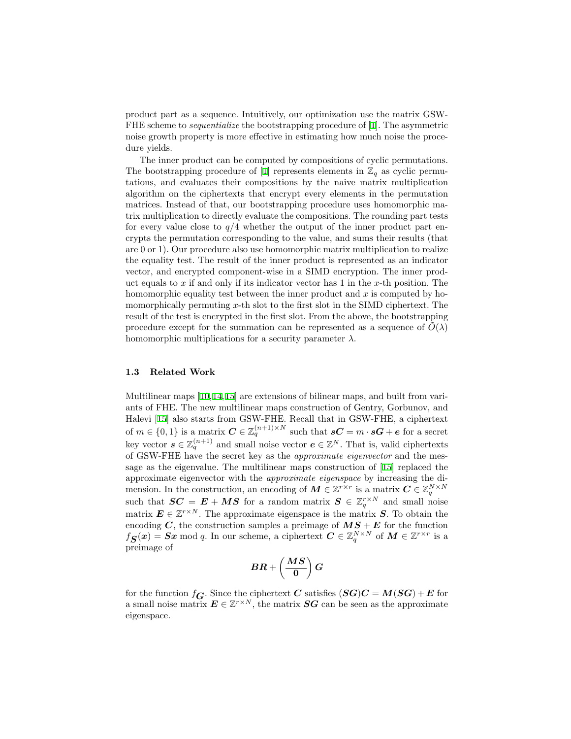product part as a sequence. Intuitively, our optimization use the matrix GSW-FHE scheme to *sequentialize* the bootstrapping procedure of [[1\]](#page-15-0). The asymmetric noise growth property is more effective in estimating how much noise the procedure yields.

The inner product can be computed by compositions of cyclic permutations. The bootstrapping procedure of [[1\]](#page-15-0) represents elements in  $\mathbb{Z}_q$  as cyclic permutations, and evaluates their compositions by the naive matrix multiplication algorithm on the ciphertexts that encrypt every elements in the permutation matrices. Instead of that, our bootstrapping procedure uses homomorphic matrix multiplication to directly evaluate the compositions. The rounding part tests for every value close to  $q/4$  whether the output of the inner product part encrypts the permutation corresponding to the value, and sums their results (that are 0 or 1). Our procedure also use homomorphic matrix multiplication to realize the equality test. The result of the inner product is represented as an indicator vector, and encrypted component-wise in a SIMD encryption. The inner product equals to *x* if and only if its indicator vector has 1 in the *x*-th position. The homomorphic equality test between the inner product and *x* is computed by homomorphically permuting *x*-th slot to the first slot in the SIMD ciphertext. The result of the test is encrypted in the first slot. From the above, the bootstrapping procedure except for the summation can be represented as a sequence of  $\hat{O}(\lambda)$ homomorphic multiplications for a security parameter *λ*.

# **1.3 Related Work**

Multilinear maps [\[10](#page-16-14),[14,](#page-16-15)[15\]](#page-16-16) are extensions of bilinear maps, and built from variants of FHE. The new multilinear maps construction of Gentry, Gorbunov, and Halevi [[15\]](#page-16-16) also starts from GSW-FHE. Recall that in GSW-FHE, a ciphertext of  $m \in \{0, 1\}$  is a matrix  $C \in \mathbb{Z}_q^{(n+1) \times N}$  such that  $sC = m \cdot sG + e$  for a secret key vector  $s \in \mathbb{Z}_q^{(n+1)}$  and small noise vector  $e \in \mathbb{Z}^N$ . That is, valid ciphertexts of GSW-FHE have the secret key as the *approximate eigenvector* and the message as the eigenvalue. The multilinear maps construction of [[15](#page-16-16)] replaced the approximate eigenvector with the *approximate eigenspace* by increasing the dimension. In the construction, an encoding of  $M \in \mathbb{Z}^{r \times r}$  is a matrix  $C \in \mathbb{Z}_q^{N \times N}$ such that  $\mathbf{SC} = \mathbf{E} + \mathbf{MS}$  for a random matrix  $\mathbf{S} \in \mathbb{Z}_q^{r \times N}$  and small noise matrix  $E \in \mathbb{Z}^{r \times N}$ . The approximate eigenspace is the matrix *S*. To obtain the encoding *C*, the construction samples a preimage of  $MS + E$  for the function  $f_{\mathbf{S}}(x) = \mathbf{S}x \mod q$ . In our scheme, a ciphertext  $\mathbf{C} \in \mathbb{Z}_q^{N \times N}$  of  $\mathbf{M} \in \mathbb{Z}^{r \times r}$  is a preimage of

$$
BR + \left( \frac{MS}{0} \right) G
$$

for the function  $f_{\mathbf{G}}$ . Since the ciphertext *C* satisfies  $(\mathbf{S}\mathbf{G})\mathbf{C} = \mathbf{M}(\mathbf{S}\mathbf{G}) + \mathbf{E}$  for a small noise matrix  $E \in \mathbb{Z}^{r \times N}$ , the matrix  $SG$  can be seen as the approximate eigenspace.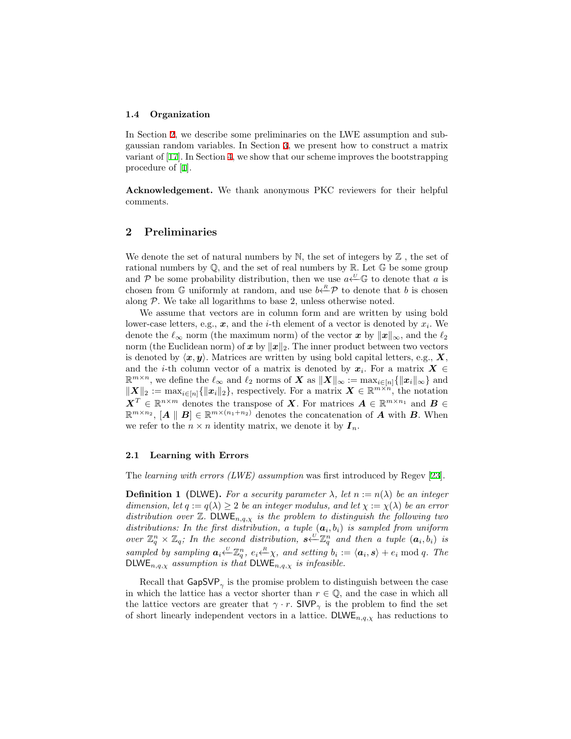#### **1.4 Organization**

In Section [2,](#page-5-0) we describe some preliminaries on the LWE assumption and subgaussian random variables. In Section [3](#page-8-0), we present how to construct a matrix variant of [[17\]](#page-16-5). In Section [4](#page-12-0), we show that our scheme improves the bootstrapping procedure of [\[1](#page-15-0)].

**Acknowledgement.** We thank anonymous PKC reviewers for their helpful comments.

# <span id="page-5-0"></span>**2 Preliminaries**

We denote the set of natural numbers by  $\mathbb N$ , the set of integers by  $\mathbb Z$ , the set of rational numbers by  $\mathbb{Q}$ , and the set of real numbers by  $\mathbb{R}$ . Let  $\mathbb{G}$  be some group and  $P$  be some probability distribution, then we use  $a \leftarrow^U \mathbb{G}$  to denote that *a* is chosen from  $\mathbb{G}$  uniformly at random, and use  $b \stackrel{R}{\leftarrow} P$  to denote that *b* is chosen along  $P$ . We take all logarithms to base 2, unless otherwise noted.

We assume that vectors are in column form and are written by using bold lower-case letters, e.g., *x*, and the *i*-th element of a vector is denoted by *x<sup>i</sup>* . We denote the  $\ell_{\infty}$  norm (the maximum norm) of the vector  $x$  by  $||x||_{\infty}$ , and the  $\ell_2$ norm (the Euclidean norm) of *x* by *∥x∥*2. The inner product between two vectors is denoted by  $\langle x, y \rangle$ . Matrices are written by using bold capital letters, e.g.,  $X$ , and the *i*-th column vector of a matrix is denoted by  $x_i$ . For a matrix  $X \in$  $\mathbb{R}^{m \times n}$ , we define the  $\ell_{\infty}$  and  $\ell_{2}$  norms of *X* as  $\|\boldsymbol{X}\|_{\infty} := \max_{i \in [n]} \{\|\boldsymbol{x}_{i}\|_{\infty}\}$  and  $\|\mathbf{X}\|_{2} := \max_{i \in [n]} \{\|\mathbf{x}_i\|_{2}\}$ , respectively. For a matrix  $\mathbf{X} \in \mathbb{R}^{m \times n}$ , the notation  $X^T \in \mathbb{R}^{n \times m}$  denotes the transpose of *X*. For matrices  $A \in \mathbb{R}^{m \times n_1}$  and  $B \in$  $\mathbb{R}^{m \times n_2}$ ,  $[A \parallel B] \in \mathbb{R}^{m \times (n_1 + n_2)}$  denotes the concatenation of *A* with *B*. When we refer to the  $n \times n$  identity matrix, we denote it by  $I_n$ .

## **2.1 Learning with Errors**

The *learning with errors (LWE) assumption* was first introduced by Regev [\[23](#page-16-10)].

**Definition 1 (DLWE).** For a security parameter  $\lambda$ , let  $n := n(\lambda)$  be an integer *dimension, let*  $q := q(\lambda) \geq 2$  *be an integer modulus, and let*  $\chi := \chi(\lambda)$  *be an error distribution over*  $\mathbb{Z}$ *.* DLWE<sub>n,q, $\chi$  *is the problem to distinguish the following two*</sub> *distributions:* In the first distribution, a tuple  $(a_i, b_i)$  is sampled from uniform *over*  $\mathbb{Z}_q^n \times \mathbb{Z}_q$ ; In the second distribution,  $s \stackrel{U}{\leftarrow} \mathbb{Z}_q^n$  and then a tuple  $(a_i, b_i)$  is sampled by sampling  $a_i \stackrel{\vee}{\leftarrow} \mathbb{Z}_q^n$ ,  $e_i \stackrel{R}{\leftarrow} \chi$ , and setting  $b_i := \langle a_i, s \rangle + e_i \bmod q$ . The DLWE*n,q,χ assumption is that* DLWE*n,q,χ is infeasible.*

Recall that  $\mathsf{GapSVP}_{\gamma}$  is the promise problem to distinguish between the case in which the lattice has a vector shorter than  $r \in \mathbb{Q}$ , and the case in which all the lattice vectors are greater that  $\gamma \cdot r$ . SIVP<sub> $\gamma$ </sub> is the problem to find the set of short linearly independent vectors in a lattice. DLWE<sub>n,q, $\chi$ </sub> has reductions to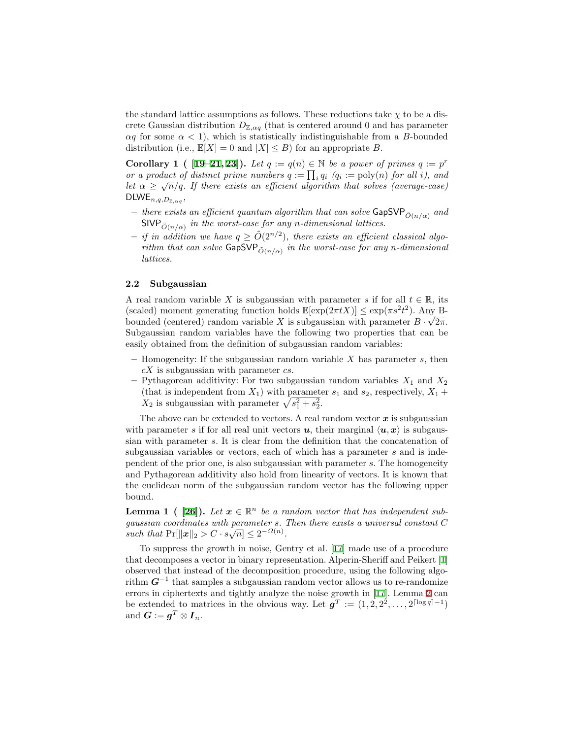the standard lattice assumptions as follows. These reductions take  $\chi$  to be a discrete Gaussian distribution  $D_{\mathbb{Z},\alpha q}$  (that is centered around 0 and has parameter  $\alpha q$  for some  $\alpha < 1$ , which is statistically indistinguishable from a *B*-bounded distribution (i.e.,  $\mathbb{E}[X] = 0$  and  $|X| \leq B$ ) for an appropriate *B*.

<span id="page-6-2"></span>**Corollary 1** (  $[19-21, 23]$  $[19-21, 23]$  $[19-21, 23]$  $[19-21, 23]$ ). Let  $q := q(n) \in \mathbb{N}$  be a power of primes  $q := p^r$ *or a product of distinct prime numbers*  $q := \prod_i q_i$   $(q_i := \text{poly}(n))$  *for all i), and let*  $\alpha \geq \sqrt{n}/q$ *. If there exists an efficient algorithm that solves (average-case)*  $\mathsf{DLWE}_{n,q,D_{\mathbb{Z},\alpha q}},$ 

- $-$  *there exists an efficient quantum algorithm that can solve*  $\mathsf{GapSVP}_{\tilde{O}(n/\alpha)}$  and  $SIVP_{\tilde{O}(n/\alpha)}$  in the worst-case for any *n*-dimensional lattices.
- $-$  *if in addition we have*  $q \geq \tilde{O}(2^{n/2})$ , there exists an efficient classical algo*rithm that can solve*  $\mathsf{GapSVP}_{\tilde{O}(n/\alpha)}$  *in the worst-case for any n-dimensional lattices.*

# **2.2 Subgaussian**

A real random variable *X* is subgaussian with parameter *s* if for all  $t \in \mathbb{R}$ , its (scaled) moment generating function holds  $\mathbb{E}[\exp(2\pi t X)] \leq \exp(\pi s^2 t^2)$ . Any Bbounded (centered) random variable *X* is subgaussian with parameter  $B \cdot \sqrt{2\pi}$ . Subgaussian random variables have the following two properties that can be easily obtained from the definition of subgaussian random variables:

- **–** Homogeneity: If the subgaussian random variable *X* has parameter *s*, then *cX* is subgaussian with parameter *cs*.
- $-$  Pythagorean additivity: For two subgaussian random variables  $X_1$  and  $X_2$ (that is independent from  $X_1$ ) with parameter  $s_1$  and  $s_2$ , respectively,  $X_1$  +  $X_2$  is subgaussian with parameter  $\sqrt{s_1^2 + s_2^2}$ .

The above can be extended to vectors. A real random vector *x* is subgaussian with parameter *s* if for all real unit vectors  $u$ , their marginal  $\langle u, x \rangle$  is subgaussian with parameter *s*. It is clear from the definition that the concatenation of subgaussian variables or vectors, each of which has a parameter *s* and is independent of the prior one, is also subgaussian with parameter *s*. The homogeneity and Pythagorean additivity also hold from linearity of vectors. It is known that the euclidean norm of the subgaussian random vector has the following upper bound.

<span id="page-6-1"></span>**Lemma 1** (  $[26]$ ). Let  $x \in \mathbb{R}^n$  be a random vector that has independent sub*gaussian coordinates with parameter s. Then there exists a universal constant C such that*  $Pr[\|\mathbf{x}\|_2 > C \cdot s\sqrt{n}] \leq 2^{-\Omega(n)}$ .

<span id="page-6-0"></span>To suppress the growth in noise, Gentry et al. [[17\]](#page-16-5) made use of a procedure that decomposes a vector in binary representation. Alperin-Sheriff and Peikert [[1\]](#page-15-0) observed that instead of the decomposition procedure, using the following algorithm  $G^{-1}$  that samples a subgaussian random vector allows us to re-randomize errors in ciphertexts and tightly analyze the noise growth in [[17\]](#page-16-5). Lemma [2](#page-6-0) can be extended to matrices in the obvious way. Let  $g^T := (1, 2, 2^2, \ldots, 2^{\lceil \log q \rceil - 1})$ and  $\boldsymbol{G} := \boldsymbol{g}^T \otimes \boldsymbol{I}_n$ .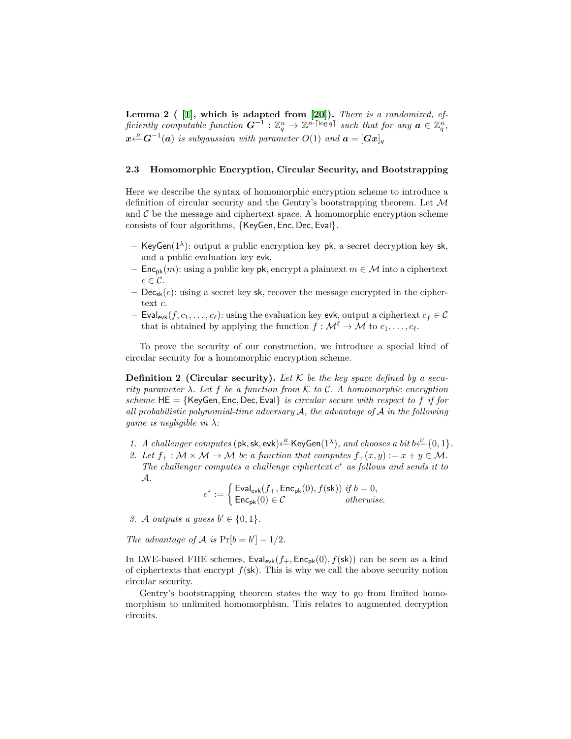**Lemma 2 ( [\[1](#page-15-0)], which is adapted from [[20\]](#page-16-19)).** *There is a randomized, efficiently computable function*  $G^{-1} : \mathbb{Z}_q^n \to \mathbb{Z}^{n \cdot \lceil \log q \rceil}$  such that for any  $a \in \mathbb{Z}_q^n$ , *x*<sup>*R*</sup>−<sup>1</sup></sub>(*a*) *is subgaussian with parameter O*(1) *and*  $\boldsymbol{a} = [\boldsymbol{G}\boldsymbol{x}]_q$ 

## **2.3 Homomorphic Encryption, Circular Security, and Bootstrapping**

Here we describe the syntax of homomorphic encryption scheme to introduce a definition of circular security and the Gentry's bootstrapping theorem. Let *M* and  $\mathcal C$  be the message and ciphertext space. A homomorphic encryption scheme consists of four algorithms, *{*KeyGen*,* Enc*,* Dec*,* Eval*}*.

- **–** KeyGen(1*<sup>λ</sup>* ): output a public encryption key pk, a secret decryption key sk, and a public evaluation key evk.
- **–** Encpk(*m*): using a public key pk, encrypt a plaintext *m ∈ M* into a ciphertext  $c \in \mathcal{C}$ .
- **–** Decsk(*c*): using a secret key sk, recover the message encrypted in the ciphertext *c*.
- **–** Eval<sub>evk</sub> $(f, c_1, \ldots, c_\ell)$ : using the evaluation key evk, output a ciphertext  $c_f \in \mathcal{C}$ that is obtained by applying the function  $f : \mathcal{M}^{\ell} \to \mathcal{M}$  to  $c_1, \ldots, c_{\ell}$ .

To prove the security of our construction, we introduce a special kind of circular security for a homomorphic encryption scheme.

**Definition 2 (Circular security).** Let  $K$  be the key space defined by a secu*rity parameter λ. Let f be a function from K to C. A homomorphic encryption scheme* HE = *{*KeyGen*,* Enc*,* Dec*,* Eval*} is circular secure with respect to f if for all probabilistic polynomial-time adversary A, the advantage of A in the following game is negligible in λ:*

- *1. A challenger computes* ( $pk, sk, evk$ )  $\leftarrow$ <sup>*R*</sup>*ReyGen*( $1^{\lambda}$ )*, and chooses a bit*  $b \leftarrow$ <sup>*U*</sup>{0*,* 1}*.*
- 2. Let  $f_+ : \mathcal{M} \times \mathcal{M} \to \mathcal{M}$  be a function that computes  $f_+(x, y) := x + y \in \mathcal{M}$ . *The challenger computes a challenge ciphertext c <sup>∗</sup> as follows and sends it to A.*

$$
c^* := \begin{cases} \text{Eval}_{\text{evk}}(f_+, \text{Enc}_{\text{pk}}(0), f(\text{sk})) \text{ if } b = 0, \\ \text{Enc}_{\text{pk}}(0) \in \mathcal{C} \text{ otherwise.} \end{cases}
$$

*3. A outputs* a guess  $b' \in \{0, 1\}$ *.* 

*The advantage of*  $\mathcal{A}$  *is*  $\Pr[b = b'] - 1/2$ *.* 

In LWE-based FHE schemes,  $\text{Eval}_{evk}(f_+, \text{Enc}_{pk}(0), f(\text{sk}))$  can be seen as a kind of ciphertexts that encrypt  $f(\mathsf{sk})$ . This is why we call the above security notion circular security.

Gentry's bootstrapping theorem states the way to go from limited homomorphism to unlimited homomorphism. This relates to augmented decryption circuits.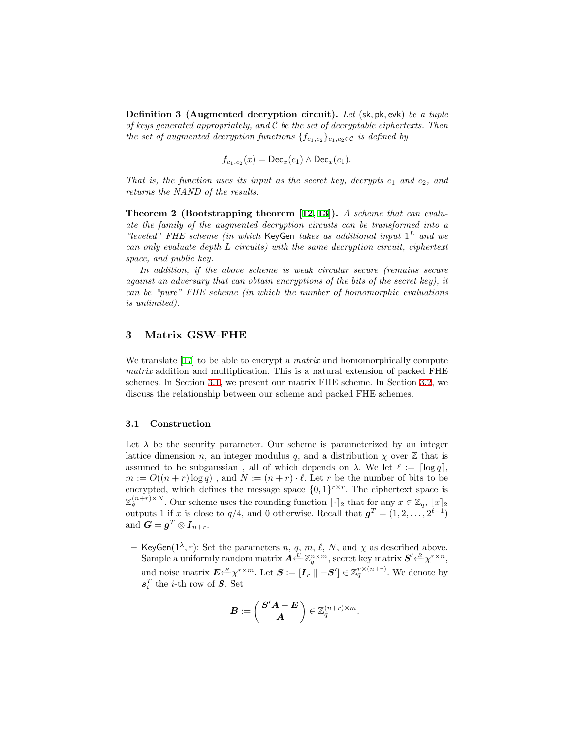**Definition 3 (Augmented decryption circuit).** *Let* (sk*,* pk*,* evk) *be a tuple of keys generated appropriately, and C be the set of decryptable ciphertexts. Then the set of augmented decryption functions*  $\{f_{c_1,c_2}\}_{c_1,c_2 \in \mathcal{C}}$  *is defined by* 

$$
f_{c_1,c_2}(x) = \overline{\text{Dec}_x(c_1) \wedge \text{Dec}_x(c_1)}.
$$

*That is, the function uses its input as the secret key, decrypts*  $c_1$  *and*  $c_2$ *, and returns the NAND of the results.*

<span id="page-8-2"></span>**Theorem 2 (Bootstrapping theorem [\[12,](#page-16-0) [13](#page-16-1)]).** *A scheme that can evaluate the family of the augmented decryption circuits can be transformed into a "leveled" FHE scheme (in which* KeyGen *takes as additional input* 1 *<sup>L</sup> and we can only evaluate depth L circuits) with the same decryption circuit, ciphertext space, and public key.*

*In addition, if the above scheme is weak circular secure (remains secure against an adversary that can obtain encryptions of the bits of the secret key), it can be "pure" FHE scheme (in which the number of homomorphic evaluations is unlimited).*

# <span id="page-8-0"></span>**3 Matrix GSW-FHE**

We translate [[17\]](#page-16-5) to be able to encrypt a *matrix* and homomorphically compute *matrix* addition and multiplication. This is a natural extension of packed FHE schemes. In Section [3.1,](#page-8-1) we present our matrix FHE scheme. In Section [3.2](#page-11-0), we discuss the relationship between our scheme and packed FHE schemes.

## <span id="page-8-1"></span>**3.1 Construction**

Let  $\lambda$  be the security parameter. Our scheme is parameterized by an integer lattice dimension *n*, an integer modulus *q*, and a distribution  $\chi$  over  $\mathbb{Z}$  that is assumed to be subgaussian, all of which depends on  $\lambda$ . We let  $\ell := \lceil \log q \rceil$ ,  $m := O((n+r) \log q)$ , and  $N := (n+r) \cdot \ell$ . Let *r* be the number of bits to be encrypted, which defines the message space  $\{0,1\}^{r \times r}$ . The ciphertext space is  $\mathbb{Z}_q^{(n+r)\times N}$ . Our scheme uses the rounding function  $\lfloor \cdot \rceil_2$  that for any  $x \in \mathbb{Z}_q$ ,  $\lfloor x \rceil_2$ outputs 1 if *x* is close to  $q/4$ , and 0 otherwise. Recall that  $g^T = (1, 2, \ldots, 2^{\ell-1})$ and  $\boldsymbol{G} = \boldsymbol{g}^T \otimes \boldsymbol{I}_{n+r}$ .

**–** KeyGen( $1^{\lambda}$ , *r*): Set the parameters *n*, *q*, *m*, *ℓ*, *N*, and  $\chi$  as described above.  $\mathbf{S}$ ample a uniformly random matrix  $\mathbf{A} \stackrel{U}{\leftarrow} \mathbb{Z}_q^{n \times m}$ , secret key matrix  $\mathbf{S}' \stackrel{R}{\leftarrow} \chi^{r \times n}$ , and noise matrix  $\mathbf{E} \stackrel{R}{\longleftarrow} \chi^{r \times m}$ . Let  $\mathbf{S} := [\mathbf{I}_r \parallel -\mathbf{S}'] \in \mathbb{Z}_q^{r \times (n+r)}$ . We denote by  $s_i^T$  the *i*-th row of *S*. Set

$$
\boldsymbol{B}:=\left(\frac{\boldsymbol{S}'\boldsymbol{A}+\boldsymbol{E}}{\boldsymbol{A}}\right)\in\mathbb{Z}_q^{(n+r)\times m}.
$$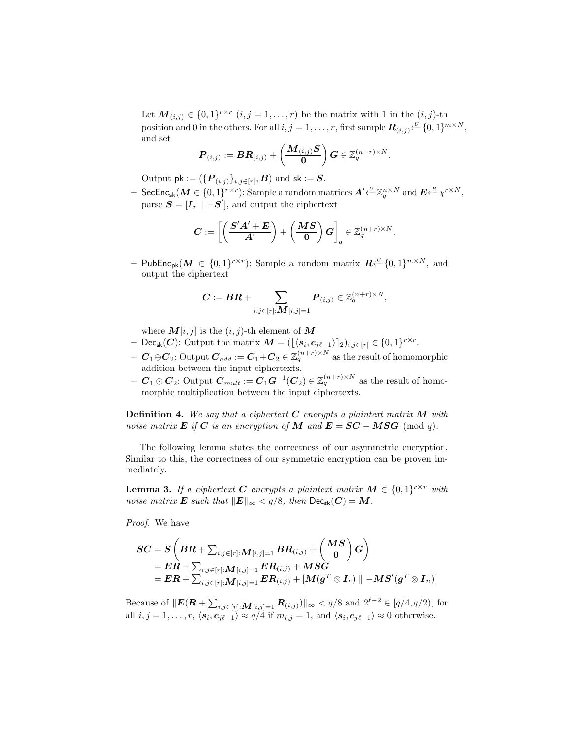Let  $\mathbf{M}_{(i,j)} \in \{0,1\}^{r \times r}$   $(i, j = 1, \ldots, r)$  be the matrix with 1 in the  $(i, j)$ -th position and 0 in the others. For all  $i, j = 1, \ldots, r$ , first sample  $\mathbf{R}_{(i,j)} \stackrel{U}{\leftarrow} \{0,1\}^{m \times N}$ , and set

*.*

$$
\boldsymbol{P}_{(i,j)} := \boldsymbol{B} \boldsymbol{R}_{(i,j)} + \left(\frac{\boldsymbol{M}_{(i,j)}\boldsymbol{S}}{\boldsymbol{0}}\right)\boldsymbol{G} \in \mathbb{Z}_q^{(n+r)\times N}
$$

Output  $\mathsf{pk} := (\{\boldsymbol{P}_{(i,j)}\}_{i,j \in [r]}, \boldsymbol{B}) \text{ and } \mathsf{sk} := \boldsymbol{S}.$ 

 $-$  SecEnc<sub>sk</sub> ( $M\in\{0,1\}^{r\times r}$ ): Sample a random matrices  $A'\!\!\stackrel{\scriptscriptstyle\vee}{\leftarrow} \!\mathbb{Z}_q^{n\times N}$  and  $E\!\!\stackrel{\scriptscriptstyle\vee}{\leftarrow} \!\! \mathbb{X}^{r\times N},$  ${\bf S} = [{\bf I}_r \parallel -{\bf S}^\prime],$  and output the ciphertext

$$
\boldsymbol{C}:=\left[\left(\frac{\boldsymbol{S}'\boldsymbol{A}'+\boldsymbol{E}}{\boldsymbol{A}'}\right)+\left(\frac{\boldsymbol{M}\boldsymbol{S}}{\boldsymbol{0}}\right)\boldsymbol{G}\right]_q\in\mathbb{Z}_q^{(n+r)\times N}.
$$

**–** PubEncpk(*M ∈ {*0*,* 1*} r×r* ): Sample a random matrix *R <sup>U</sup>←−{*0*,* 1*} <sup>m</sup>×<sup>N</sup>* , and output the ciphertext

$$
\pmb{C} := \pmb{B}\pmb{R} + \sum_{i,j \in [r]: \pmb{M}[i,j] = 1} \pmb{P}_{(i,j)} \in \mathbb{Z}_q^{(n+r) \times N},
$$

where  $M[i, j]$  is the  $(i, j)$ -th element of  $M$ .

- $\mathbf{C} = \left( \frac{\left| \left\langle \mathbf{s}_i, \mathbf{c}_{j\ell-1} \right\rangle \right|_2}{\left| \sum_{j \in [r]} \epsilon_j \right|} \right) \in \{0, 1\}^{r \times r}.$
- $\bm{C}_1 \oplus \bm{C}_2$ : Output  $\bm{C}_{add} := \bm{C}_1 + \bm{C}_2 \in \mathbb{Z}_q^{(n+r) \times N}$  as the result of homomorphic addition between the input ciphertexts.
- $-C_1 ⊙ C_2$ **:** Output  $C_{mult} := C_1 G^{-1}(C_2) \in \mathbb{Z}_q^{(n+r) \times N}$  as the result of homomorphic multiplication between the input ciphertexts.

**Definition 4.** *We say that a ciphertext C encrypts a plaintext matrix M with noise matrix*  $\bf{E}$  *if*  $\bf{C}$  *is an encryption of*  $\bf{M}$  *and*  $\bf{E} = \bf{S}\bf{C} - \bf{M}\bf{S}\bf{G}$  (mod *q*).

The following lemma states the correctness of our asymmetric encryption. Similar to this, the correctness of our symmetric encryption can be proven immediately.

**Lemma 3.** *If a ciphertext C encrypts* a plaintext matrix  $M \in \{0,1\}^{r \times r}$  with *noise matrix*  $E$  *such that*  $||E||_{\infty} < q/8$ *, then*  $\text{Dec}_{\text{sk}}(C) = M$ *.* 

*Proof.* We have

$$
\begin{aligned} SC &= S\left(BR+\sum_{i,j\in[r]:}M_{[i,j]=1}BR_{(i,j)}+\left(\frac{MS}{0}\right)G\right) \\ &= ER+\sum_{i,j\in[r]:}M_{[i,j]=1}ER_{(i,j)}+MSG \\ &= ER+\sum_{i,j\in[r]:}M_{[i,j]=1}ER_{(i,j)}+[M(g^T\otimes I_r)\parallel -MS'(g^T\otimes I_n)] \end{aligned}
$$

Because of  $||E(R + \sum_{i,j \in [r]:} M_{[i,j]=1} R_{(i,j)})||_{\infty} < q/8$  and  $2^{\ell-2} \in [q/4, q/2)$ , for all  $i, j = 1, ..., r, \langle s_i, c_{j\ell-1} \rangle \approx q/4$  if  $m_{i,j} = 1$ , and  $\langle s_i, c_{j\ell-1} \rangle \approx 0$  otherwise.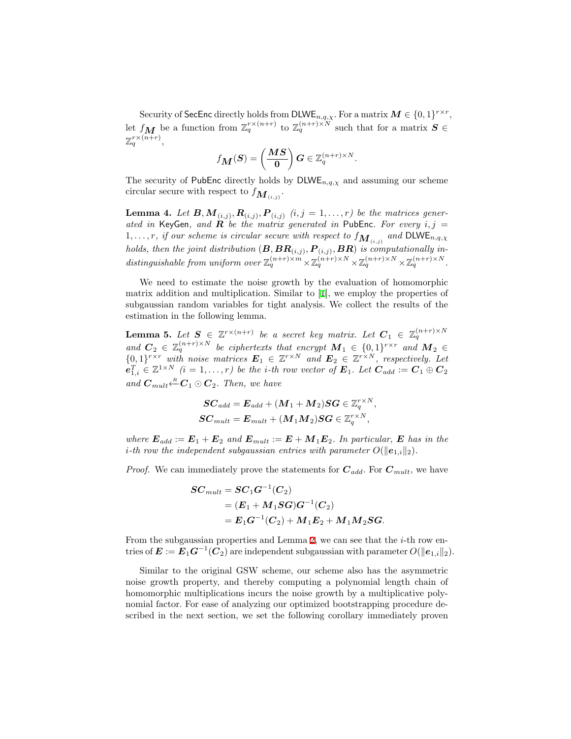Security of SecEnc directly holds from  $\text{DLWE}_{n,q,\chi}$ . For a matrix  $M \in \{0,1\}^{r \times r}$ , let  $f_{\boldsymbol{M}}$  be a function from  $\mathbb{Z}_q^{r\times (n+r)}$  to  $\mathbb{Z}_q^{(n+r)\times N}$  such that for a matrix  $\boldsymbol{S}\in$  $\mathbb{Z}_q^{r\times (n+r)},$ 

$$
f_{\boldsymbol{M}}(\boldsymbol{S})=\left(\frac{\boldsymbol{M}\boldsymbol{S}}{\boldsymbol{0}}\right)\boldsymbol{G}\in\mathbb{Z}_q^{(n+r)\times N}
$$

*.*

The security of PubEnc directly holds by  $\text{DLWE}_{n,q,\chi}$  and assuming our scheme circular secure with respect to  $f_{\mathbf{M}_{(i,j)}}$ .

<span id="page-10-1"></span>**Lemma 4.** Let  $B, M_{(i,j)}, R_{(i,j)}, P_{(i,j)}$   $(i,j = 1, \ldots, r)$  be the matrices gener*ated in* KeyGen, and  $\bf{R}$  *be the matrix generated in* PubEnc. For every  $i, j =$  $1, \ldots, r$ *, if our scheme is circular secure with respect to*  $f_{\mathbf{M}_{(i,j)}}$  and  $\textsf{DLWE}_{n,q,\chi}$ *holds, then the joint distribution*  $(B, BR_{(i,j)}, P_{(i,j)}, BR)$  *is computationally in*distinguishable from uniform over  $\mathbb{Z}_q^{(n+r)\times m} \times \mathbb{Z}_q^{(n+r)\times N} \times \mathbb{Z}_q^{(n+r)\times N} \times \mathbb{Z}_q^{(n+r)\times N}$ .

We need to estimate the noise growth by the evaluation of homomorphic matrix addition and multiplication. Similar to [[1\]](#page-15-0), we employ the properties of subgaussian random variables for tight analysis. We collect the results of the estimation in the following lemma.

**Lemma 5.** Let  $S \in \mathbb{Z}^{r \times (n+r)}$  be a secret key matrix. Let  $C_1 \in \mathbb{Z}_q^{(n+r) \times N}$ *and*  $C_2 \in \mathbb{Z}_q^{(n+r)\times N}$  *be ciphertexts that encrypt*  $M_1 \in \{0,1\}^{r\times r}$  *and*  $M_2 \in$  $\{0,1\}$ <sup>*r×r*</sup> *with noise matrices*  $E_1 \in \mathbb{Z}^{r \times N}$  *and*  $E_2 \in \mathbb{Z}^{r \times N}$ *, respectively. Let*  $e_{1,i}^T \in \mathbb{Z}^{1 \times N}$   $(i = 1, \ldots, r)$  be the *i*-th row vector of  $E_1$ . Let  $C_{add} := C_1 \oplus C_2$  $\sum_{m=1}^R C_m \odot C_2$ . Then, we have

<span id="page-10-0"></span>
$$
\begin{aligned} &\boldsymbol{SC}_{add} = \boldsymbol{E}_{add} + (\boldsymbol{M}_1 + \boldsymbol{M}_2) \boldsymbol{SG} \in \mathbb{Z}_q^{r \times N}, \\ &\boldsymbol{SC}_{mult} = \boldsymbol{E}_{mult} + (\boldsymbol{M}_1 \boldsymbol{M}_2) \boldsymbol{SG} \in \mathbb{Z}_q^{r \times N}, \end{aligned}
$$

*where*  $\mathbf{E}_{add} := \mathbf{E}_1 + \mathbf{E}_2$  and  $\mathbf{E}_{mult} := \mathbf{E} + \mathbf{M}_1 \mathbf{E}_2$ . In particular,  $\mathbf{E}$  has in the *i*<sup>*-th row the independent subgaussian entries with parameter*  $O(\|\mathbf{e}_{1,i}\|_2)$ *.</sup>* 

*Proof.* We can immediately prove the statements for  $C_{add}$ . For  $C_{mult}$ , we have

$$
\begin{aligned} SC_{mult} = SC_1G^{-1}(C_2) \\ = (E_1 + M_1SG)G^{-1}(C_2) \\ = E_1G^{-1}(C_2) + M_1E_2 + M_1M_2SG. \end{aligned}
$$

From the subgaussian properties and Lemma [2,](#page-6-0) we can see that the *i*-th row entries of  $E := E_1 G^{-1}(C_2)$  are independent subgaussian with parameter  $O(\|e_{1,i}\|_2)$ .

Similar to the original GSW scheme, our scheme also has the asymmetric noise growth property, and thereby computing a polynomial length chain of homomorphic multiplications incurs the noise growth by a multiplicative polynomial factor. For ease of analyzing our optimized bootstrapping procedure described in the next section, we set the following corollary immediately proven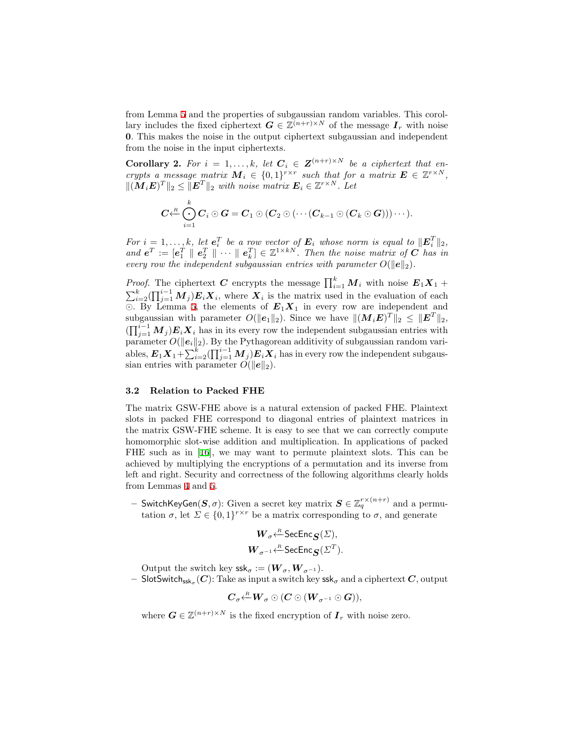from Lemma [5](#page-10-0) and the properties of subgaussian random variables. This corollary includes the fixed ciphertext  $G \in \mathbb{Z}^{(n+r)\times N}$  of the message  $I_r$  with noise **0**. This makes the noise in the output ciphertext subgaussian and independent from the noise in the input ciphertexts.

**Corollary 2.** For  $i = 1, ..., k$ , let  $C_i \in \mathbf{Z}^{(n+r)\times N}$  be a ciphertext that en*crypts a message matrix*  $M_i \in \{0,1\}^{r \times r}$  such that for a matrix  $E \in \mathbb{Z}^{r \times N}$ ,  $\|(M_i E)^T\|_2 \leq \|E^T\|_2$  *with noise matrix*  $E_i \in \mathbb{Z}^{r \times N}$ . Let

<span id="page-11-1"></span>
$$
C {\stackrel{k}{\leftarrow}} \bigodot_{i=1}^k C_i \odot G = C_1 \odot (C_2 \odot ( \cdots (C_{k-1} \odot (C_k \odot G))) \cdots ).
$$

*For*  $i = 1, \ldots, k$ *, let*  $e_i^T$  *be a row vector of*  $E_i$  *whose norm is equal to*  $||E_i^T||_2$ *,*  $and$   $e^T := [e_1^T \parallel e_2^T \parallel \cdots \parallel e_k^T] \in \mathbb{Z}^{1 \times kN}$ . Then the noise matrix of *C* has in *every row the independent subgaussian entries with parameter*  $O(\|\mathbf{e}\|_2)$ *.* 

*Proof.* The ciphertext *C* encrypts the message  $\prod_{i=1}^{k} M_i$  with noise  $E_1 X_1 +$  $\sum_{i=2}^{k} (\prod_{j=1}^{i-1} M_j) E_i X_i$ , where  $X_i$  is the matrix used in the evaluation of each *⊙*. By Lemma [5](#page-10-0), the elements of *E*1*X*<sup>1</sup> in every row are independent and subgaussian with parameter  $O(\|\mathbf{e}_1\|_2)$ . Since we have  $\|(M_i E)^T\|_2 \leq \|E^T\|_2$ ,  $(\prod_{j=1}^{i-1} M_j) E_i X_i$  has in its every row the independent subgaussian entries with parameter  $O(\|e_i\|_2)$ . By the Pythagorean additivity of subgaussian random variables,  $E_1 X_1 + \sum_{i=2}^k (\prod_{j=1}^{i-1} M_j) E_i X_i$  has in every row the independent subgaussian entries with parameter  $O(\|\mathbf{e}\|_2)$ .

# <span id="page-11-0"></span>**3.2 Relation to Packed FHE**

The matrix GSW-FHE above is a natural extension of packed FHE. Plaintext slots in packed FHE correspond to diagonal entries of plaintext matrices in the matrix GSW-FHE scheme. It is easy to see that we can correctly compute homomorphic slot-wise addition and multiplication. In applications of packed FHE such as in [\[16](#page-16-20)], we may want to permute plaintext slots. This can be achieved by multiplying the encryptions of a permutation and its inverse from left and right. Security and correctness of the following algorithms clearly holds from Lemmas [4](#page-10-1) and [5](#page-10-0).

 $-$  SwitchKeyGen $(\bm{S}, \sigma)$ : Given a secret key matrix  $\bm{S} \in \mathbb{Z}_q^{r \times (n+r)}$  and a permutation  $\sigma$ , let  $\Sigma \in \{0,1\}^{r \times r}$  be a matrix corresponding to  $\sigma$ , and generate

$$
W_{\sigma} \stackrel{R}{\leftarrow} \text{SecEnc}_{\mathbf{S}}(\Sigma),
$$
  

$$
W_{\sigma^{-1}} \stackrel{R}{\leftarrow} \text{SecEnc}_{\mathbf{S}}(\Sigma^T).
$$

Output the switch key  $\text{ssk}_{\sigma} := (\mathbf{W}_{\sigma}, \mathbf{W}_{\sigma^{-1}}).$ 

 $-$  SlotSwitch<sub>ssk $\sigma$ </sub> (*C*): Take as input a switch key  $\mathsf{ssk}_\sigma$  and a ciphertext  $C,$  output

$$
\pmb{C}_\sigma \coverset{\scriptscriptstyle R}{\leftarrow} \pmb{W}_\sigma \odot \left( \pmb{C} \odot \left( \pmb{W}_{\sigma^{-1}} \odot \pmb{G} \right) \right),
$$

where  $G \in \mathbb{Z}^{(n+r)\times N}$  is the fixed encryption of  $I_r$  with noise zero.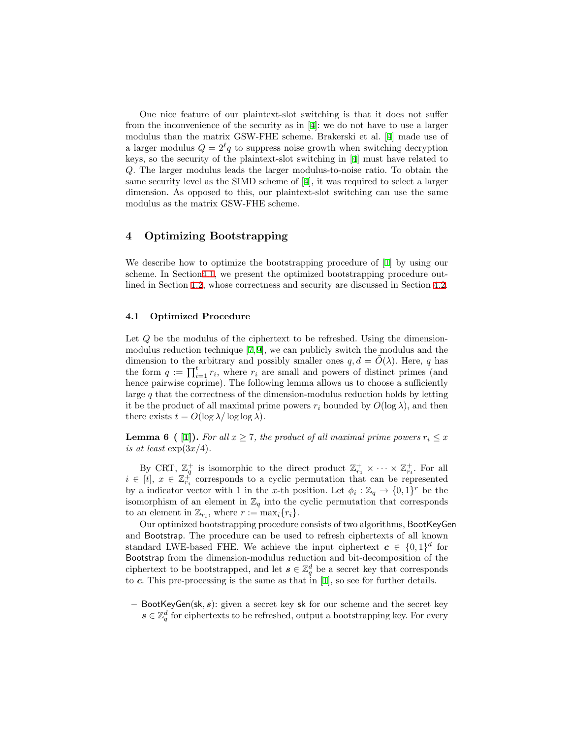One nice feature of our plaintext-slot switching is that it does not suffer from the inconvenience of the security as in [[4\]](#page-16-8): we do not have to use a larger modulus than the matrix GSW-FHE scheme. Brakerski et al. [\[4](#page-16-8)] made use of a larger modulus  $Q = 2^{\ell}q$  to suppress noise growth when switching decryption keys, so the security of the plaintext-slot switching in [[4\]](#page-16-8) must have related to *Q*. The larger modulus leads the larger modulus-to-noise ratio. To obtain the same security level as the SIMD scheme of [[4](#page-16-8)], it was required to select a larger dimension. As opposed to this, our plaintext-slot switching can use the same modulus as the matrix GSW-FHE scheme.

# <span id="page-12-0"></span>**4 Optimizing Bootstrapping**

We describe how to optimize the bootstrapping procedure of [[1\]](#page-15-0) by using our scheme. In Section[4.1,](#page-12-1) we present the optimized bootstrapping procedure outlined in Section [1.2,](#page-2-1) whose correctness and security are discussed in Section [4.2.](#page-14-0)

## <span id="page-12-1"></span>**4.1 Optimized Procedure**

Let *Q* be the modulus of the ciphertext to be refreshed. Using the dimensionmodulus reduction technique [[7,](#page-16-11)[9](#page-16-12)], we can publicly switch the modulus and the dimension to the arbitrary and possibly smaller ones  $q, d = \tilde{O}(\lambda)$ . Here, q has the form  $q := \prod_{i=1}^{t} r_i$ , where  $r_i$  are small and powers of distinct primes (and hence pairwise coprime). The following lemma allows us to choose a sufficiently large *q* that the correctness of the dimension-modulus reduction holds by letting it be the product of all maximal prime powers  $r_i$  bounded by  $O(\log \lambda)$ , and then there exists  $t = O(\log \lambda / \log \log \lambda)$ .

**Lemma 6 ( [[1\]](#page-15-0)).** For all  $x \geq 7$ , the product of all maximal prime powers  $r_i \leq x$ *is at least*  $\exp(3x/4)$ *.* 

By CRT,  $\mathbb{Z}_q^+$  is isomorphic to the direct product  $\mathbb{Z}_{r_1}^+ \times \cdots \times \mathbb{Z}_{r_t}^+$ . For all  $i \in [t], x \in \mathbb{Z}_{r_i}^+$  corresponds to a cyclic permutation that can be represented by a indicator vector with 1 in the *x*-th position. Let  $\phi_i : \mathbb{Z}_q \to \{0,1\}^r$  be the isomorphism of an element in  $\mathbb{Z}_q$  into the cyclic permutation that corresponds to an element in  $\mathbb{Z}_{r_i}$ , where  $r := \max_i \{r_i\}.$ 

Our optimized bootstrapping procedure consists of two algorithms, BootKeyGen and Bootstrap. The procedure can be used to refresh ciphertexts of all known standard LWE-based FHE. We achieve the input ciphertext  $c \in \{0,1\}^d$  for Bootstrap from the dimension-modulus reduction and bit-decomposition of the ciphertext to be bootstrapped, and let  $s \in \mathbb{Z}_q^d$  be a secret key that corresponds to *c*. This pre-processing is the same as that in [\[1](#page-15-0)], so see for further details.

**–** BootKeyGen(sk*, s*): given a secret key sk for our scheme and the secret key  $s \in \mathbb{Z}_q^d$  for ciphertexts to be refreshed, output a bootstrapping key. For every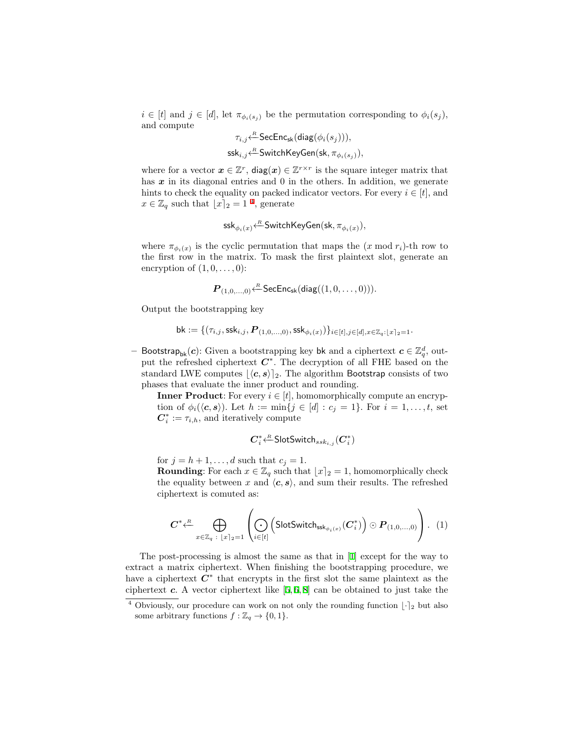$i \in [t]$  and  $j \in [d]$ , let  $\pi_{\phi_i(s_i)}$  be the permutation corresponding to  $\phi_i(s_j)$ , and compute

$$
\tau_{i,j} \stackrel{\ \ \mathcal{R}}{\leftarrow} \mathsf{SecEnc}_{\mathsf{sk}}(\mathsf{diag}(\phi_i(s_j))), \\ \mathsf{ssk}_{i,j} \stackrel{\ \ \mathcal{R}}{\leftarrow} \mathsf{SwitchKeyGen}(\mathsf{sk}, \pi_{\phi_i(s_j)}),
$$

where for a vector  $x \in \mathbb{Z}^r$ ,  $\text{diag}(x) \in \mathbb{Z}^{r \times r}$  is the square integer matrix that has x in its diagonal entries and 0 in the others. In addition, we generate hints to check the equality on packed indicator vectors. For every  $i \in [t]$ , and  $x \in \mathbb{Z}_q$  such that  $\lfloor x \rceil_2 = 1$ <sup>[4](#page-13-0)</sup>, generate

$$
\mathsf{ssk}_{\phi_i(x)} \hspace{-0.1cm} \leftarrow^R \hspace{-0.08cm} \mathsf{SwitchKeyGen}(\mathsf{sk}, \pi_{\phi_i(x)}),
$$

where  $\pi_{\phi_i(x)}$  is the cyclic permutation that maps the  $(x \mod r_i)$ -th row to the first row in the matrix. To mask the first plaintext slot, generate an encryption of  $(1,0,\ldots,0)$ :

$$
\boldsymbol{P}_{(1,0,\dots,0)} {\leftarrow^R} \mathsf{SecEnc}_{\mathsf{sk}}(\mathsf{diag}((1,0,\dots,0))).
$$

Output the bootstrapping key

$$
{\sf bk} := \{(\tau_{i,j},\mathsf{ssk}_{i,j}, \bm{P}_{(1,0,\dots,0)},\mathsf{ssk}_{\phi_i(x)})\}_{i \in [t], j \in [d], x \in \mathbb{Z}_q : \lfloor x \rceil_2 = 1}.
$$

− Bootstrap<sub>bk</sub>(*c*): Given a bootstrapping key bk and a ciphertext  $c \in \mathbb{Z}_q^d$ , output the refreshed ciphertext *C ∗* . The decryption of all FHE based on the standard LWE computes  $|\langle c, s \rangle|_2$ . The algorithm Bootstrap consists of two phases that evaluate the inner product and rounding.

**Inner Product**: For every  $i \in [t]$ , homomorphically compute an encryption of  $\phi_i(\langle c, s \rangle)$ . Let  $h := \min\{j \in [d] : c_j = 1\}$ . For  $i = 1, ..., t$ , set  $C_i^* := \tau_{i,h}$ , and iteratively compute

$$
\bm{C}_i^* {\stackrel{R}{\longleftarrow}} \mathsf{SlotSwitch}_{ssk_{i,j}}(\bm{C}_i^*)
$$

for  $j = h + 1, \ldots, d$  such that  $c_j = 1$ .

**Rounding**: For each  $x \in \mathbb{Z}_q$  such that  $\lfloor x \rfloor_2 = 1$ , homomorphically check the equality between *x* and  $\langle c, s \rangle$ , and sum their results. The refreshed ciphertext is comuted as:

<span id="page-13-1"></span>
$$
\boldsymbol{C}^* \stackrel{\text{R}}{\longleftarrow} \bigoplus_{x \in \mathbb{Z}_q \ : \ [x]_2 = 1} \left( \bigodot_{i \in [t]} \left( \text{SlotSwitch}_{\textsf{ssk}_{\phi_i(x)}}(\boldsymbol{C}_i^*) \right) \odot \boldsymbol{P}_{(1,0,\dots,0)} \right). \tag{1}
$$

The post-processing is almost the same as that in [\[1](#page-15-0)] except for the way to extract a matrix ciphertext. When finishing the bootstrapping procedure, we have a ciphertext *C ∗* that encrypts in the first slot the same plaintext as the ciphertext *c*. A vector ciphertext like [\[5](#page-16-2), [6,](#page-16-21) [8](#page-16-3)] can be obtained to just take the

<span id="page-13-0"></span><sup>&</sup>lt;sup>4</sup> Obviously, our procedure can work on not only the rounding function  $\lfloor \cdot \rfloor_2$  but also some arbitrary functions  $f : \mathbb{Z}_q \to \{0, 1\}.$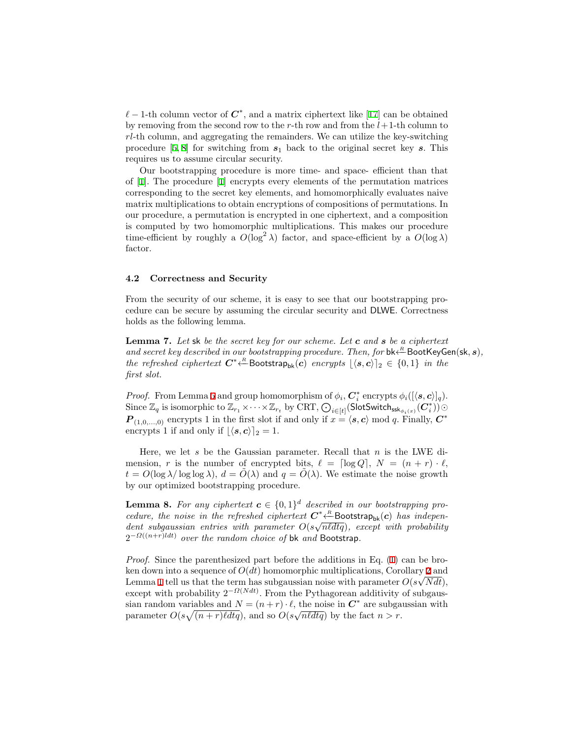*ℓ −* 1-th column vector of *C ∗* , and a matrix ciphertext like [\[17](#page-16-5)] can be obtained by removing from the second row to the *r*-th row and from the *l*+1-th column to *rl*-th column, and aggregating the remainders. We can utilize the key-switching procedure  $[5, 8]$  $[5, 8]$  $[5, 8]$  $[5, 8]$  for switching from  $s_1$  back to the original secret key *s*. This requires us to assume circular security.

Our bootstrapping procedure is more time- and space- efficient than that of [[1\]](#page-15-0). The procedure [\[1](#page-15-0)] encrypts every elements of the permutation matrices corresponding to the secret key elements, and homomorphically evaluates naive matrix multiplications to obtain encryptions of compositions of permutations. In our procedure, a permutation is encrypted in one ciphertext, and a composition is computed by two homomorphic multiplications. This makes our procedure time-efficient by roughly a  $O(\log^2 \lambda)$  factor, and space-efficient by a  $O(\log \lambda)$ factor.

## <span id="page-14-0"></span>**4.2 Correctness and Security**

From the security of our scheme, it is easy to see that our bootstrapping procedure can be secure by assuming the circular security and DLWE. Correctness holds as the following lemma.

**Lemma 7.** *Let* sk *be the secret key for our scheme. Let c and s be a ciphertext and secret key described in our bootstrapping procedure. Then, for*  $bk \stackrel{R}{\leftarrow} \text{BookKeyGen}(\textbf{sk}, s)$ , *the refreshed ciphertext*  $C^* \stackrel{R}{\leftarrow}$  Bootstrap<sub>bk</sub> $(c)$  *encrypts*  $\lfloor \langle s, c \rangle \rfloor_2 \in \{0, 1\}$  *in the first slot.*

*Proof.* From Lemma [5](#page-10-0) and group homomorphism of  $\phi_i$ ,  $C_i^*$  encrypts  $\phi_i([\langle s, c \rangle]_q)$ .  $\text{Since } \mathbb{Z}_q \text{ is isomorphic to } \mathbb{Z}_{r_1} \times \cdots \times \mathbb{Z}_{r_t} \text{ by } \text{CRT}, \bigodot_{i \in [t]}(\textsf{SlotSwitch}_{\textsf{ssk}_{\phi_i(x)}}(\bm{C}_i^*))$  $P_{(1,0,...,0)}$  encrypts 1 in the first slot if and only if  $x = \langle s, c \rangle \text{ mod } q$ . Finally,  $C^*$ encrypts 1 if and only if  $\lfloor \langle s, c \rangle \rfloor_2 = 1$ .

Here, we let *s* be the Gaussian parameter. Recall that *n* is the LWE dimension, *r* is the number of encrypted bits,  $\ell = \lceil \log Q \rceil$ ,  $N = (n + r) \cdot \ell$ ,  $t = O(\log \lambda / \log \log \lambda)$ ,  $d = O(\lambda)$  and  $q = O(\lambda)$ . We estimate the noise growth by our optimized bootstrapping procedure.

<span id="page-14-1"></span>**Lemma 8.** For any ciphertext  $c \in \{0,1\}^d$  described in our bootstrapping pro*cedure, the noise in the refreshed ciphertext*  $C^* \xleftarrow{R}$ Bootstrap<sub>bk</sub> $(c)$  *has independentity*, the noise in the refreshed ciphertext  $C \leftarrow$ BOOtstrap<sub>bk</sub>(*c*) has independent subgaussian entries with parameter  $O(s\sqrt{nldtq})$ , except with probability 2 *<sup>−</sup>Ω*((*n*+*r*)*ldt*) *over the random choice of* bk *and* Bootstrap*.*

*Proof.* Since the parenthesized part before the additions in Eq. [\(1](#page-13-1)) can be broken down into a sequence of *O*(*dt*) homomorphic multiplications, Corollary [2](#page-11-1) and *√* Lemma [1](#page-6-1) tell us that the term has subgaussian noise with parameter  $O(s\sqrt{N}dt)$ , except with probability 2*−Ω*(*Ndt*) . From the Pythagorean additivity of subgaussian random variables and  $N = (n+r) \cdot \ell$ , the noise in  $C^*$  are subgaussian with parameter  $O(s\sqrt{(n+r)\ell dtq})$ , and so  $O(s\sqrt{n\ell dtq})$  by the fact  $n > r$ .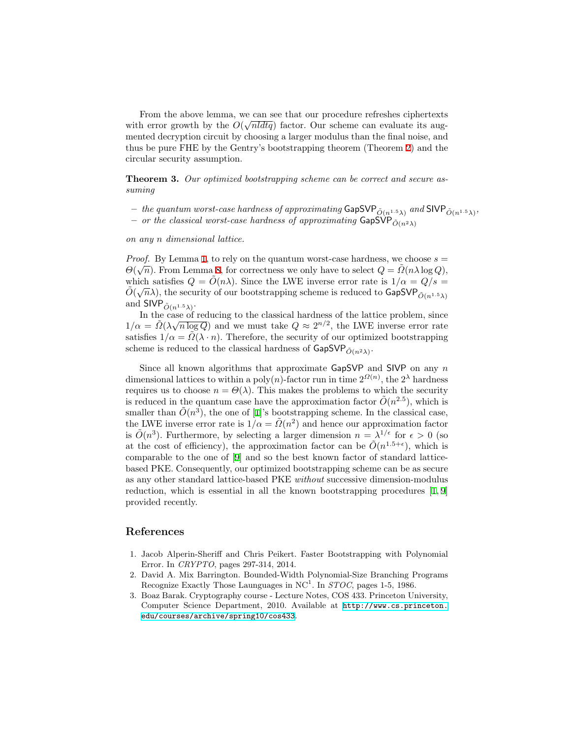From the above lemma, we can see that our procedure refreshes ciphertexts *√* with error growth by the  $O(\sqrt{n l dt q})$  factor. Our scheme can evaluate its augmented decryption circuit by choosing a larger modulus than the final noise, and thus be pure FHE by the Gentry's bootstrapping theorem (Theorem [2\)](#page-8-2) and the circular security assumption.

**Theorem 3.** *Our optimized bootstrapping scheme can be correct and secure assuming*

 $-$  *the quantum worst-case hardness of approximating <code>GapSVP</code>*  $_{\tilde{O}(n^{1.5}\lambda)}$  *and <code>SIVP</code>*  $_{\tilde{O}(n^{1.5}\lambda)}$  $-$  *or the classical worst-case hardness of approximating* GapSVP $\tilde{O}(n^2\lambda)$ 

*on any n dimensional lattice.*

*Proof.* By Lemma [1](#page-6-2), to rely on the quantum worst-case hardness, we choose  $s =$ *P too]*. By Lemma 1, to fely on the quantum worst-case hardness, we choose  $s = \Theta(\sqrt{n})$ . From Lemma [8](#page-14-1), for correctness we only have to select  $Q = \tilde{\Omega}(n\lambda \log Q)$ , which satisfies  $Q = \tilde{O}(n\lambda)$ . Since the LWE inverse error rate is  $1/\alpha = Q/s$ which satisfies  $Q = O(n\lambda)$ . Since the LWE liverse error rate is  $1/\alpha = Q/8 = \tilde{O}(\sqrt{n}\lambda)$ , the security of our bootstrapping scheme is reduced to **GapSVP**  $\tilde{O}(n^{1.5}\lambda)$ and  $\textsf{SIVP}_{\tilde{O}(n^{1.5}\lambda)}$ .

In the case of reducing to the classical hardness of the lattice problem, since 1/ $\alpha = \tilde{\Omega}(\lambda \sqrt{n \log Q})$  and we must take  $Q ≈ 2^{n/2}$ , the LWE inverse error rate satisfies  $1/\alpha = \tilde{\Omega}(\lambda \cdot n)$ . Therefore, the security of our optimized bootstrapping scheme is reduced to the classical hardness of  $\mathsf{GapSVP}_{\tilde{O}(n^2\lambda)}$ .

Since all known algorithms that approximate GapSVP and SIVP on any *n* dimensional lattices to within a poly $(n)$ -factor run in time  $2^{\Omega(n)}$ , the  $2^{\lambda}$  hardness requires us to choose  $n = \Theta(\lambda)$ . This makes the problems to which the security is reduced in the quantum case have the approximation factor  $\tilde{O}(n^{2.5})$ , which is smaller than  $\tilde{O}(n^3)$ , the one of [[1\]](#page-15-0)'s bootstrapping scheme. In the classical case, the LWE inverse error rate is  $1/\alpha = \tilde{\Omega}(n^2)$  and hence our approximation factor is  $\tilde{O}(n^3)$ . Furthermore, by selecting a larger dimension  $n = \lambda^{1/\epsilon}$  for  $\epsilon > 0$  (so at the cost of efficiency), the approximation factor can be  $\tilde{O}(n^{1.5+\epsilon})$ , which is comparable to the one of [[9\]](#page-16-12) and so the best known factor of standard latticebased PKE. Consequently, our optimized bootstrapping scheme can be as secure as any other standard lattice-based PKE *without* successive dimension-modulus reduction, which is essential in all the known bootstrapping procedures  $[1, 9]$  $[1, 9]$  $[1, 9]$  $[1, 9]$ provided recently.

## **References**

- <span id="page-15-0"></span>1. Jacob Alperin-Sheriff and Chris Peikert. Faster Bootstrapping with Polynomial Error. In *CRYPTO*, pages 297-314, 2014.
- <span id="page-15-1"></span>2. David A. Mix Barrington. Bounded-Width Polynomial-Size Branching Programs Recognize Exactly Those Launguages in NC<sup>1</sup> . In *STOC*, pages 1-5, 1986.
- <span id="page-15-2"></span>3. Boaz Barak. Cryptography course - Lecture Notes, COS 433. Princeton University, Computer Science Department, 2010. Available at [http://www.cs.princeton.](http://www.cs.princeton.edu/ courses/archive/spring10/cos433) [edu/courses/archive/spring10/cos433](http://www.cs.princeton.edu/ courses/archive/spring10/cos433).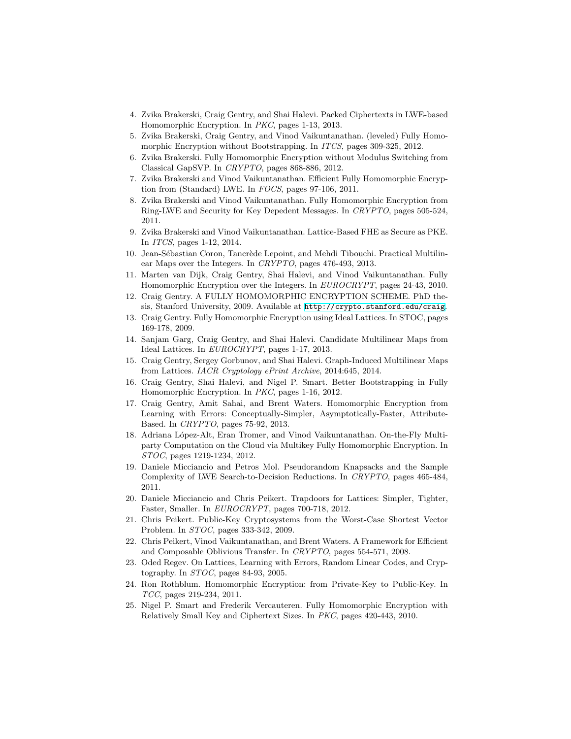- <span id="page-16-8"></span>4. Zvika Brakerski, Craig Gentry, and Shai Halevi. Packed Ciphertexts in LWE-based Homomorphic Encryption. In *PKC*, pages 1-13, 2013.
- <span id="page-16-2"></span>5. Zvika Brakerski, Craig Gentry, and Vinod Vaikuntanathan. (leveled) Fully Homomorphic Encryption without Bootstrapping. In *ITCS*, pages 309-325, 2012.
- <span id="page-16-21"></span>6. Zvika Brakerski. Fully Homomorphic Encryption without Modulus Switching from Classical GapSVP. In *CRYPTO*, pages 868-886, 2012.
- <span id="page-16-11"></span>7. Zvika Brakerski and Vinod Vaikuntanathan. Efficient Fully Homomorphic Encryption from (Standard) LWE. In *FOCS*, pages 97-106, 2011.
- <span id="page-16-3"></span>8. Zvika Brakerski and Vinod Vaikuntanathan. Fully Homomorphic Encryption from Ring-LWE and Security for Key Depedent Messages. In *CRYPTO*, pages 505-524, 2011.
- <span id="page-16-12"></span>9. Zvika Brakerski and Vinod Vaikuntanathan. Lattice-Based FHE as Secure as PKE. In *ITCS*, pages 1-12, 2014.
- <span id="page-16-14"></span>10. Jean-Sébastian Coron, Tancrède Lepoint, and Mehdi Tibouchi. Practical Multilinear Maps over the Integers. In *CRYPTO*, pages 476-493, 2013.
- <span id="page-16-4"></span>11. Marten van Dijk, Craig Gentry, Shai Halevi, and Vinod Vaikuntanathan. Fully Homomorphic Encryption over the Integers. In *EUROCRYPT*, pages 24-43, 2010.
- <span id="page-16-0"></span>12. Craig Gentry. A FULLY HOMOMORPHIC ENCRYPTION SCHEME. PhD thesis, Stanford University, 2009. Available at <http://crypto.stanford.edu/craig>.
- <span id="page-16-1"></span>13. Craig Gentry. Fully Homomorphic Encryption using Ideal Lattices. In STOC, pages 169-178, 2009.
- <span id="page-16-15"></span>14. Sanjam Garg, Craig Gentry, and Shai Halevi. Candidate Multilinear Maps from Ideal Lattices. In *EUROCRYPT*, pages 1-17, 2013.
- <span id="page-16-16"></span>15. Craig Gentry, Sergey Gorbunov, and Shai Halevi. Graph-Induced Multilinear Maps from Lattices. *IACR Cryptology ePrint Archive*, 2014:645, 2014.
- <span id="page-16-20"></span>16. Craig Gentry, Shai Halevi, and Nigel P. Smart. Better Bootstrapping in Fully Homomorphic Encryption. In *PKC*, pages 1-16, 2012.
- <span id="page-16-5"></span>17. Craig Gentry, Amit Sahai, and Brent Waters. Homomorphic Encryption from Learning with Errors: Conceptually-Simpler, Asymptotically-Faster, Attribute-Based. In *CRYPTO*, pages 75-92, 2013.
- <span id="page-16-6"></span>18. Adriana López-Alt, Eran Tromer, and Vinod Vaikuntanathan. On-the-Fly Multiparty Computation on the Cloud via Multikey Fully Homomorphic Encryption. In *STOC*, pages 1219-1234, 2012.
- <span id="page-16-17"></span>19. Daniele Micciancio and Petros Mol. Pseudorandom Knapsacks and the Sample Complexity of LWE Search-to-Decision Reductions. In *CRYPTO*, pages 465-484, 2011.
- <span id="page-16-19"></span>20. Daniele Micciancio and Chris Peikert. Trapdoors for Lattices: Simpler, Tighter, Faster, Smaller. In *EUROCRYPT*, pages 700-718, 2012.
- <span id="page-16-18"></span>21. Chris Peikert. Public-Key Cryptosystems from the Worst-Case Shortest Vector Problem. In *STOC*, pages 333-342, 2009.
- <span id="page-16-9"></span>22. Chris Peikert, Vinod Vaikuntanathan, and Brent Waters. A Framework for Efficient and Composable Oblivious Transfer. In *CRYPTO*, pages 554-571, 2008.
- <span id="page-16-10"></span>23. Oded Regev. On Lattices, Learning with Errors, Random Linear Codes, and Cryptography. In *STOC*, pages 84-93, 2005.
- <span id="page-16-13"></span>24. Ron Rothblum. Homomorphic Encryption: from Private-Key to Public-Key. In *TCC*, pages 219-234, 2011.
- <span id="page-16-7"></span>25. Nigel P. Smart and Frederik Vercauteren. Fully Homomorphic Encryption with Relatively Small Key and Ciphertext Sizes. In *PKC*, pages 420-443, 2010.